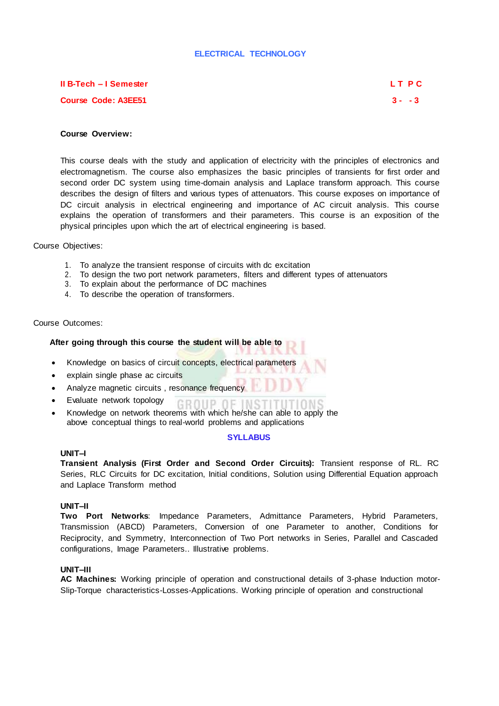## **ELECTRICAL TECHNOLOGY**

# **II B-Tech – I Semester L T P C Course Code: A3EE51 3 - - 3**

## **Course Overview:**

This course deals with the study and application of electricity with the principles of electronics and electromagnetism. The course also emphasizes the basic principles of transients for first order and second order DC system using time-domain analysis and Laplace transform approach. This course describes the design of filters and various types of attenuators. This course exposes on importance of DC circuit analysis in electrical engineering and importance of AC circuit analysis. This course explains the operation of transformers and their parameters. This course is an exposition of the physical principles upon which the art of electrical engineering is based.

Course Objectives:

- 1. To analyze the transient response of circuits with dc excitation
- 2. To design the two port network parameters, filters and different types of attenuators
- 3. To explain about the performance of DC machines
- 4. To describe the operation of transformers.

## Course Outcomes:

## **After going through this course the student will be able to**

- Knowledge on basics of circuit concepts, electrical parameters
- explain single phase ac circuits
- Analyze magnetic circuits , resonance frequency
- Evaluate network topology
- Knowledge on network theorems with which he/she can able to apply the above conceptual things to real-world problems and applications

#### **SYLLABUS**

GROUP OF INSTITU

### **UNIT–I**

**Transient Analysis (First Order and Second Order Circuits):** Transient response of RL. RC Series, RLC Circuits for DC excitation, Initial conditions, Solution using Differential Equation approach and Laplace Transform method

#### **UNIT–II**

**Two Port Networks**: Impedance Parameters, Admittance Parameters, Hybrid Parameters, Transmission (ABCD) Parameters, Conversion of one Parameter to another, Conditions for Reciprocity, and Symmetry, Interconnection of Two Port networks in Series, Parallel and Cascaded configurations, Image Parameters.. Illustrative problems.

## **UNIT–III**

**AC Machines:** Working principle of operation and constructional details of 3-phase Induction motor-Slip-Torque characteristics-Losses-Applications. Working principle of operation and constructional